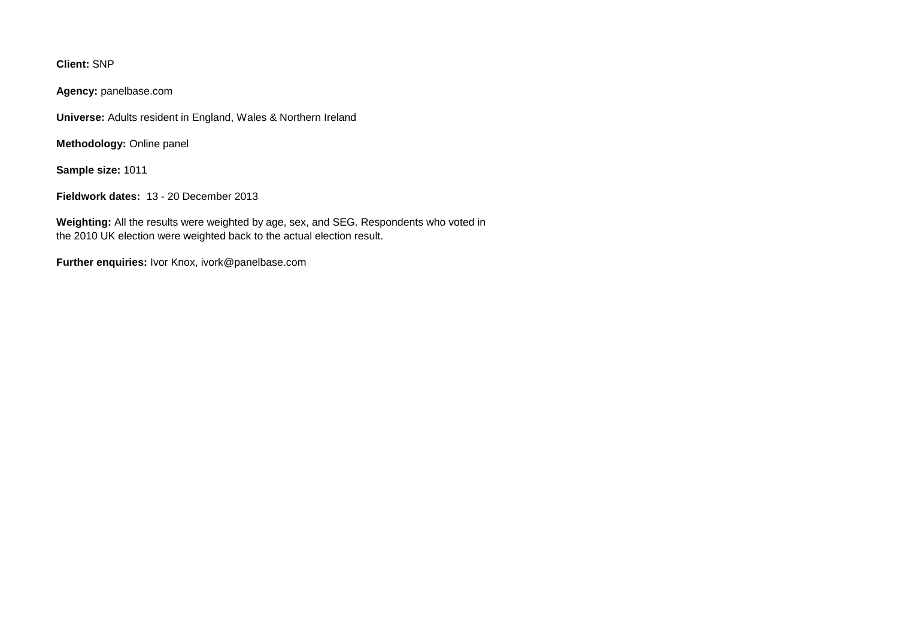**Client:** SNP

**Agency:** panelbase.com

**Universe:** Adults resident in England, Wales & Northern Ireland

**Methodology:** Online panel

**Sample size:** 1011

**Fieldwork dates:** 13 - 20 December 2013

**Weighting:** All the results were weighted by age, sex, and SEG. Respondents who voted in the 2010 UK election were weighted back to the actual election result.

**Further enquiries:** Ivor Knox, ivork@panelbase.com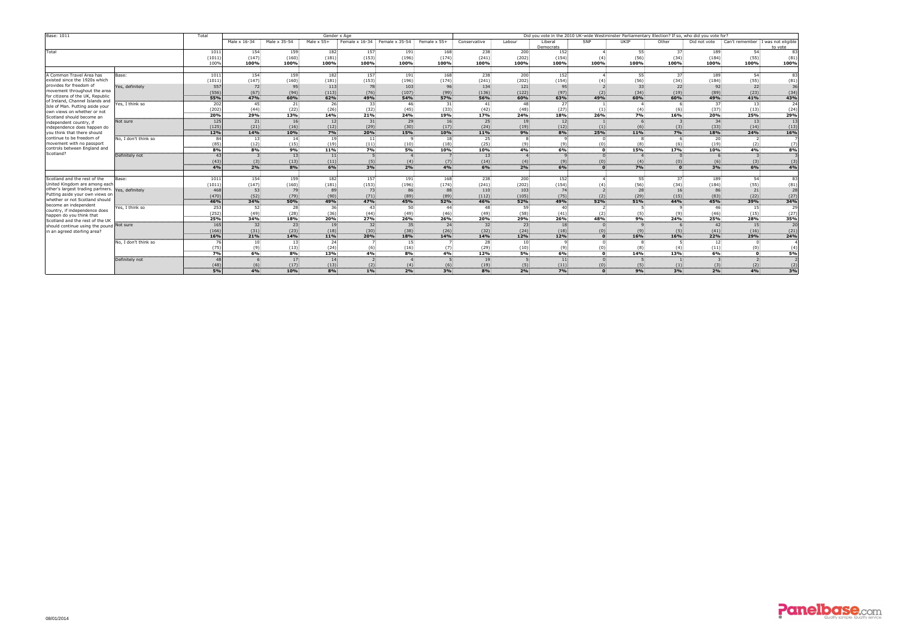| <b>Base: 1011</b>                                                                                                                                                 |                      | Total                       | Gender x Age    |                               |                   |                 |                                                  |                  | Did you vote in the 2010 UK-wide Westminster Parliamentary Election? If so, who did you vote for? |          |                      |              |                 |                             |                 |                                     |                   |
|-------------------------------------------------------------------------------------------------------------------------------------------------------------------|----------------------|-----------------------------|-----------------|-------------------------------|-------------------|-----------------|--------------------------------------------------|------------------|---------------------------------------------------------------------------------------------------|----------|----------------------|--------------|-----------------|-----------------------------|-----------------|-------------------------------------|-------------------|
|                                                                                                                                                                   |                      |                             | Male x 16-34    | Male x 35-54                  | Male $\times$ 55+ |                 | Female x $16-34$ : Female x 35-54 : Female x 55+ |                  | Conservative                                                                                      | Labour   | Liberal<br>Democrats | SNP          | UKIP            | Other                       | Did not vote    | Can't remember : I was not eligible | to vote           |
| Total                                                                                                                                                             |                      | 1011                        | 154             | 159                           | 182               | 157             | 191                                              | 168              | 238                                                                                               | 200      | 152.                 |              | 55:             |                             | 189             | 54.                                 |                   |
|                                                                                                                                                                   |                      | (1011)                      | (147)           | (160)                         | (181)             | (153)           | (196)                                            | (174)            | (241)                                                                                             | (202)    | (154)                |              | (56)            | (34)                        | (184)           | (55)                                | (81)              |
|                                                                                                                                                                   |                      | 100%                        | 100%            | 100%                          | 100%              | 100%            | 100%                                             | 100%             | 100%                                                                                              | 100%     | 100%                 | 100%         | 100%            | 100%                        | 100%            | 100%                                | 100%              |
| A Common Travel Area has                                                                                                                                          | Base:                | 1011                        | 154:            | 159                           | 182               | 157             | 191                                              | 168              | 238                                                                                               | 200      | 152                  |              | 55 <sup>1</sup> |                             | 189             | 54                                  |                   |
| existed since the 1920s which                                                                                                                                     |                      | (1011)                      | (147)           | (160)                         | (181)             | (153)           | (196)                                            | (174)            | (241)                                                                                             | (202)    | (154)                |              | (56)            | (34)                        | (184)           | (55)                                | (81)              |
| provides for freedom of<br>movement throughout the area<br>for citizens of the UK, Republic<br>of Ireland, Channel Islands and<br>Isle of Man. Putting aside your | Yes, definitely      | 557                         | 72              | 95:                           | 113               | 78              | 103                                              | 96               | 134                                                                                               | 121      | 95                   |              | 33              | 22                          | 92 <sub>1</sub> | 22                                  | 36                |
|                                                                                                                                                                   |                      | (556)                       | (67)            | (94)                          | (113)             | (76)            | (107)                                            | (99)             | (136)                                                                                             | (122)    | (97)                 |              | (34)            | (19)                        | (89)            | (23)                                | (34)              |
|                                                                                                                                                                   |                      | 55%                         | 47%             | 60%                           | 62%               | 49%             | <b>54%</b>                                       | 57%              | 56%                                                                                               | 60%      | 63%                  | 49%          | 60%             | 60%                         | 49%             | 41%                                 | 43%               |
|                                                                                                                                                                   | Yes, I think so      | 202                         | 45:             | 21                            | 26 <sup>2</sup>   | 33 <sup>2</sup> | -46:                                             | 31               | 41                                                                                                | -48:     | -27                  |              |                 |                             | 37 <sup>2</sup> | 13 <sup>2</sup>                     | 24                |
|                                                                                                                                                                   |                      | (202)                       | (44)            | (22)                          | (26)              | (32)            | (45)                                             | (33)             | (42)                                                                                              | (48)     | (27)                 |              | (4)             |                             | (37)            | (13)                                | (24)              |
| own views on whether or not<br>Scotland should become an                                                                                                          |                      | 20%                         | 29%             | 13%                           | 14%               | 21%             | 24%                                              | 19%              | 17%                                                                                               | 24%      | 18%                  | 26%          | 7%              | 16%                         | 20%             | 25%                                 | 29%               |
| independent country, if                                                                                                                                           | Not sure             | 125                         | 21              | 16 <sup>2</sup>               | 12 <sub>1</sub>   | 31              | 29                                               | 16               | 25 <sup>1</sup>                                                                                   | 19.      | 12.                  |              |                 |                             | 34 <sup>2</sup> | 13:                                 | 13                |
| independence does happen do                                                                                                                                       |                      | (125)                       | (21)            | (16)                          | (12)              | (29)            | (30)                                             | (17)             | (24)                                                                                              | (19)     | (12)                 |              | (6)             | (3)                         | (33)            | (14)                                | (13)              |
| you think that there should                                                                                                                                       |                      | 12%                         | 14%             | 10%                           | 7%                | 20%             | 15%                                              | 10%              | 11%                                                                                               | 9%       | 8%                   | 25%          | 11%             | 7%                          | 18%             | 24%                                 | 16%               |
| continue to be freedom of                                                                                                                                         | No, I don't think so |                             | 13 <sup>2</sup> | 14 <sup>1</sup>               | 19.               | 11              | Q                                                | 18               | 25:                                                                                               |          |                      |              |                 |                             | 20:             |                                     |                   |
| movement with no passport                                                                                                                                         |                      | (85)                        | (12)            | (15)                          | (19)              | (11)            | (10)                                             | (18)             | (25)                                                                                              | (9)      | (9)                  |              | (8)             |                             | (19)            | (2)                                 | (7)               |
| controls between England and                                                                                                                                      |                      | 8%                          | 8%              | 9%                            | 11%               | 7%              | 5%                                               | 10%              | 10%                                                                                               | 4%       | 6%                   |              | 15%             | 17%                         | 10%             | 4%                                  | 8%                |
| Scotland?                                                                                                                                                         | Definitely not       |                             |                 | 13 <sup>2</sup>               | 11                |                 |                                                  |                  | 13 <sup>1</sup>                                                                                   |          |                      |              |                 |                             |                 |                                     |                   |
|                                                                                                                                                                   |                      | (43)                        | (3)             | (13)                          | (11)              | (5)             | (4)                                              | (7)              | (14)                                                                                              | (4)      | (9)                  | (0)          |                 |                             | (6)             | (3)                                 | (3)               |
|                                                                                                                                                                   |                      | 4%                          | 2%              | 8%                            | 6%                | 3%              | 2%                                               | 4%               | 6%                                                                                                | 2%       | $6\%$                |              | 7%              | n                           | $3\%$           | 6%                                  | 4%                |
|                                                                                                                                                                   |                      |                             |                 |                               |                   |                 |                                                  |                  |                                                                                                   |          |                      |              |                 |                             |                 |                                     |                   |
| Scotland and the rest of the                                                                                                                                      | Base:                | 1011                        | 154             | 159                           | 182               | 157             | 191                                              | 168              | 238                                                                                               | 200      | 152                  |              | 55:             |                             | 189             | 54                                  | -83I              |
| United Kingdom are among each<br>other's largest trading partners.                                                                                                |                      | (1011)                      | (147)           | (160)                         | (181)             | (153)           | (196)                                            | (174)            | (241)                                                                                             | (202)    | (154)                |              | (56)            | (34)                        | (184)           | (55)                                | (81)              |
|                                                                                                                                                                   | Yes, definitely      | 468                         | 53              | 79                            | 89                | 73              | 86                                               | 88               | 110                                                                                               | 103      | 74.                  |              | 28              | 16                          | 86              | 21                                  | 28                |
| Putting aside your own views on                                                                                                                                   |                      | (470)                       | (52)            | (79)                          | (90)              | (71)            | (89)                                             | (89)             | (112)                                                                                             | (105)    | (75)                 |              | (29)            | (15)                        | (83)            | (22)                                | (27)              |
| whether or not Scotland should<br>become an independent                                                                                                           |                      | 46%                         | 34%             | 50%                           | 49%               | 47%             | 45%                                              | 52%              | 46%                                                                                               | 52%      | 49%                  | 52%          | 51%             | 44%                         | 45%             | 39%                                 | 34%               |
| country, if independence does                                                                                                                                     | Yes, I think so      | 253                         | 52.             | 28                            | 36 <sup>2</sup>   | 43:             | 50                                               | 44               | 48.                                                                                               | 59.      | 40                   |              |                 |                             | 46.             | 15                                  | 29                |
| happen do you think that                                                                                                                                          |                      | (252)                       | (49)            | (28)                          | (36)              | (44)            | (49)                                             | (46)             | (49)                                                                                              | (58)     | (41)                 | (2)          | (5)             |                             | (46)            | (15)                                | (27)              |
| Scotland and the rest of the UK                                                                                                                                   |                      | 25%                         | 34%             | 18%                           | 20%               | 27%             | 26%                                              | 26%              | 20%                                                                                               | 29%      | 26%                  | 48%          | 9%              | 24%                         | 25%             | 28%                                 | 35%               |
| should continue using the pound Not sure                                                                                                                          |                      | 165                         | 32 <sub>2</sub> | 23                            | 19                | 32 <sup>2</sup> | 35 <sup>2</sup>                                  | 24               | 32 <sup>2</sup>                                                                                   | 23       | 18                   |              |                 |                             | -42             | 15                                  | $\overline{20}$   |
| in an agreed sterling area?                                                                                                                                       |                      | (166)                       | (31)            | (23)                          | (18)              | (30)            | (38)                                             | (26)             | (32)                                                                                              | (24)     | (18)                 |              | (9)             |                             | (41)            | (16)                                | $(21)$<br>24%     |
|                                                                                                                                                                   |                      | 16%<br>$\sim$ $\sim$ $\sim$ | 21%<br>$-11$    | 140 <sub>o</sub><br>$+ + 70.$ | $11\%$            | 20%             | <b>18%</b>                                       | 14%<br>$-1$ $-1$ | 14%                                                                                               | 12%      | 12%                  | n            | 16%             | 16%<br>$\sim$ $\sim$ $\sim$ | 22%             | 29%                                 |                   |
|                                                                                                                                                                   | No, I don't think so |                             | 10              | 13.                           | 24:               |                 | 15 <sup>1</sup>                                  |                  | 28.                                                                                               | 10.      |                      |              |                 |                             | 12.             |                                     |                   |
|                                                                                                                                                                   |                      | (75)                        | $(9)$ :         | $(13)$ :                      | $(24)$ :          | (6)             | (16)                                             |                  | (29)                                                                                              | $(10)$ : | $(9)$ :              |              | (8)             |                             | (11)            | (0)                                 | (4)               |
|                                                                                                                                                                   |                      | 7%                          | 6%              | 8%                            | 13%               | 4%              | 8%                                               | 4%               | 12%                                                                                               | 5%       | $6\%$                |              | 14%             | 13%                         | 6%              | $\mathbf{0}$                        | 5%                |
|                                                                                                                                                                   | Definitely not       |                             |                 | 17.                           | 14                |                 |                                                  |                  | 19 <sub>1</sub>                                                                                   |          | 11                   |              |                 |                             |                 |                                     |                   |
|                                                                                                                                                                   |                      | (48)                        |                 | (17)                          | (13)              | (2)             | (4)                                              |                  | (19)                                                                                              |          | (11)                 |              |                 |                             | (3)             | (2)                                 | $\frac{(2)}{3\%}$ |
|                                                                                                                                                                   |                      | $5\%$                       | 4%              | 10%                           | 8%                | $1\%$           | $2\%$                                            | 3%               | 8%                                                                                                | $2\%$    | $7\%$                | $\mathbf{O}$ | 9%              | 3%                          | $2\%$           | 4%                                  |                   |